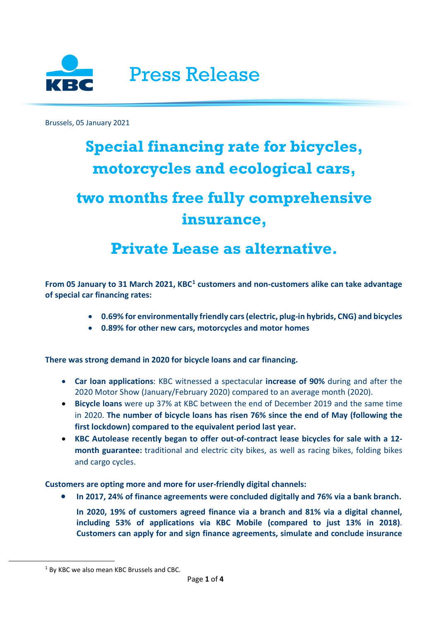

Brussels, 05 January 2021

## **Special financing rate for bicycles, motorcycles and ecological cars,**

# **two months free fully comprehensive insurance,**

## **Private Lease as alternative.**

**From 05 January to 31 March 2021, KBC[1](#page-0-0) customers and non-customers alike can take advantage of special car financing rates:**

- **0.69% for environmentally friendly cars (electric, plug-in hybrids, CNG) and bicycles**
- **0.89% for other new cars, motorcycles and motor homes**

**There was strong demand in 2020 for bicycle loans and car financing.**

- **Car loan applications**: KBC witnessed a spectacular **increase of 90%** during and after the 2020 Motor Show (January/February 2020) compared to an average month (2020).
- **Bicycle loans** were up 37% at KBC between the end of December 2019 and the same time in 2020. **The number of bicycle loans has risen 76% since the end of May (following the first lockdown) compared to the equivalent period last year.**
- **KBC Autolease recently began to offer out-of-contract lease bicycles for sale with a 12 month guarantee:** traditional and electric city bikes, as well as racing bikes, folding bikes and cargo cycles.

**Customers are opting more and more for user-friendly digital channels:**

- **In 2017, 24% of finance agreements were concluded digitally and 76% via a bank branch.**
	- **In 2020, 19% of customers agreed finance via a branch and 81% via a digital channel, including 53% of applications via KBC Mobile (compared to just 13% in 2018)**. **Customers can apply for and sign finance agreements, simulate and conclude insurance**

<span id="page-0-0"></span> $1$  By KBC we also mean KBC Brussels and CBC.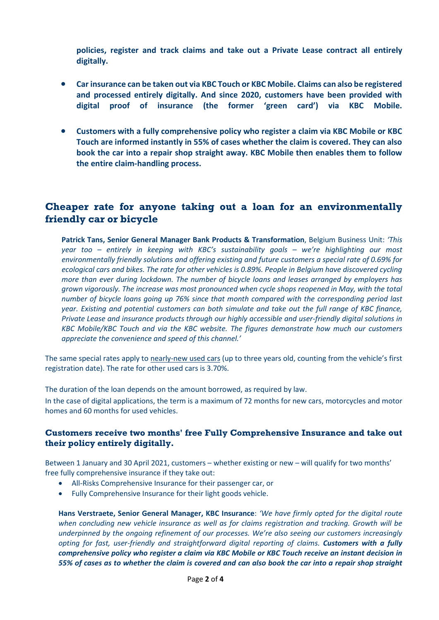**policies, register and track claims and take out a Private Lease contract all entirely digitally.**

- **Car insurance can be taken out via KBC Touch or KBC Mobile. Claims can also be registered and processed entirely digitally. And since 2020, customers have been provided with digital proof of insurance (the former 'green card') via KBC Mobile.**
- **Customers with a fully comprehensive policy who register a claim via KBC Mobile or KBC Touch are informed instantly in 55% of cases whether the claim is covered. They can also book the car into a repair shop straight away. KBC Mobile then enables them to follow the entire claim-handling process.**

### **Cheaper rate for anyone taking out a loan for an environmentally friendly car or bicycle**

**Patrick Tans, Senior General Manager Bank Products & Transformation**, Belgium Business Unit: *'This year too – entirely in keeping with KBC's sustainability goals – we're highlighting our most environmentally friendly solutions and offering existing and future customers a special rate of 0.69% for ecological cars and bikes. The rate for other vehicles is 0.89%. People in Belgium have discovered cycling more than ever during lockdown. The number of bicycle loans and leases arranged by employers has grown vigorously. The increase was most pronounced when cycle shops reopened in May, with the total number of bicycle loans going up 76% since that month compared with the corresponding period last year. Existing and potential customers can both simulate and take out the full range of KBC finance, Private Lease and insurance products through our highly accessible and user-friendly digital solutions in KBC Mobile/KBC Touch and via the KBC website. The figures demonstrate how much our customers appreciate the convenience and speed of this channel.'*

The same special rates apply to nearly-new used cars (up to three years old, counting from the vehicle's first registration date). The rate for other used cars is 3.70%.

The duration of the loan depends on the amount borrowed, as required by law.

In the case of digital applications, the term is a maximum of 72 months for new cars, motorcycles and motor homes and 60 months for used vehicles.

#### **Customers receive two months' free Fully Comprehensive Insurance and take out their policy entirely digitally.**

Between 1 January and 30 April 2021, customers – whether existing or new – will qualify for two months' free fully comprehensive insurance if they take out:

- All-Risks Comprehensive Insurance for their passenger car, or
- Fully Comprehensive Insurance for their light goods vehicle.

**Hans Verstraete, Senior General Manager, KBC Insurance**: *'We have firmly opted for the digital route when concluding new vehicle insurance as well as for claims registration and tracking. Growth will be underpinned by the ongoing refinement of our processes. We're also seeing our customers increasingly opting for fast, user-friendly and straightforward digital reporting of claims. Customers with a fully comprehensive policy who register a claim via KBC Mobile or KBC Touch receive an instant decision in 55% of cases as to whether the claim is covered and can also book the car into a repair shop straight*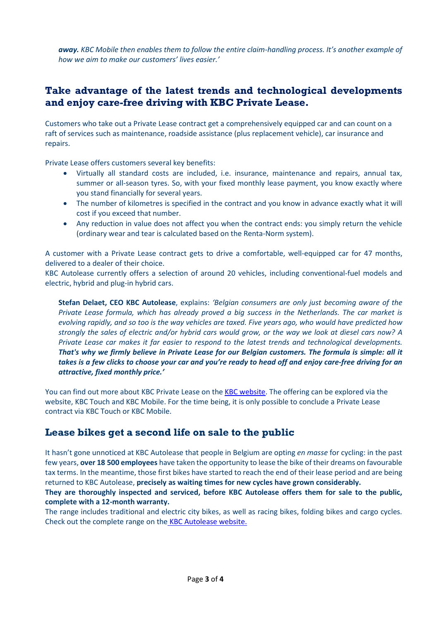*away. KBC Mobile then enables them to follow the entire claim-handling process. It's another example of how we aim to make our customers' lives easier.'*

### **Take advantage of the latest trends and technological developments and enjoy care-free driving with KBC Private Lease.**

Customers who take out a Private Lease contract get a comprehensively equipped car and can count on a raft of services such as maintenance, roadside assistance (plus replacement vehicle), car insurance and repairs.

Private Lease offers customers several key benefits:

- Virtually all standard costs are included, i.e. insurance, maintenance and repairs, annual tax, summer or all-season tyres. So, with your fixed monthly lease payment, you know exactly where you stand financially for several years.
- The number of kilometres is specified in the contract and you know in advance exactly what it will cost if you exceed that number.
- Any reduction in value does not affect you when the contract ends: you simply return the vehicle (ordinary wear and tear is calculated based on the Renta-Norm system).

A customer with a Private Lease contract gets to drive a comfortable, well-equipped car for 47 months, delivered to a dealer of their choice.

KBC Autolease currently offers a selection of around 20 vehicles, including conventional-fuel models and electric, hybrid and plug-in hybrid cars.

**Stefan Delaet, CEO KBC Autolease**, explains: *'Belgian consumers are only just becoming aware of the Private Lease formula, which has already proved a big success in the Netherlands. The car market is evolving rapidly, and so too is the way vehicles are taxed. Five years ago, who would have predicted how strongly the sales of electric and/or hybrid cars would grow, or the way we look at diesel cars now? A Private Lease car makes it far easier to respond to the latest trends and technological developments. That's why we firmly believe in Private Lease for our Belgian customers. The formula is simple: all it takes is a few clicks to choose your car and you're ready to head off and enjoy care-free driving for an attractive, fixed monthly price.'*

You can find out more about KBC Private Lease on the [KBC website.](https://www.kbc.be/retail/en/vehicle/personal-car-leasing/private-lease.html) The offering can be explored via the website, KBC Touch and KBC Mobile. For the time being, it is only possible to conclude a Private Lease contract via KBC Touch or KBC Mobile.

### **Lease bikes get a second life on sale to the public**

It hasn't gone unnoticed at KBC Autolease that people in Belgium are opting *en masse* for cycling: in the past few years, **over 18 500 employees** have taken the opportunity to lease the bike of their dreams on favourable tax terms. In the meantime, those first bikes have started to reach the end of their lease period and are being returned to KBC Autolease, **precisely as waiting times for new cycles have grown considerably.**

**They are thoroughly inspected and serviced, before KBC Autolease offers them for sale to the public, complete with a 12-month warranty.**

The range includes traditional and electric city bikes, as well as racing bikes, folding bikes and cargo cycles. Check out the complete range on the **[KBC Autolease website.](https://carsales.autolease.kbc.com/en/bicycles/)**